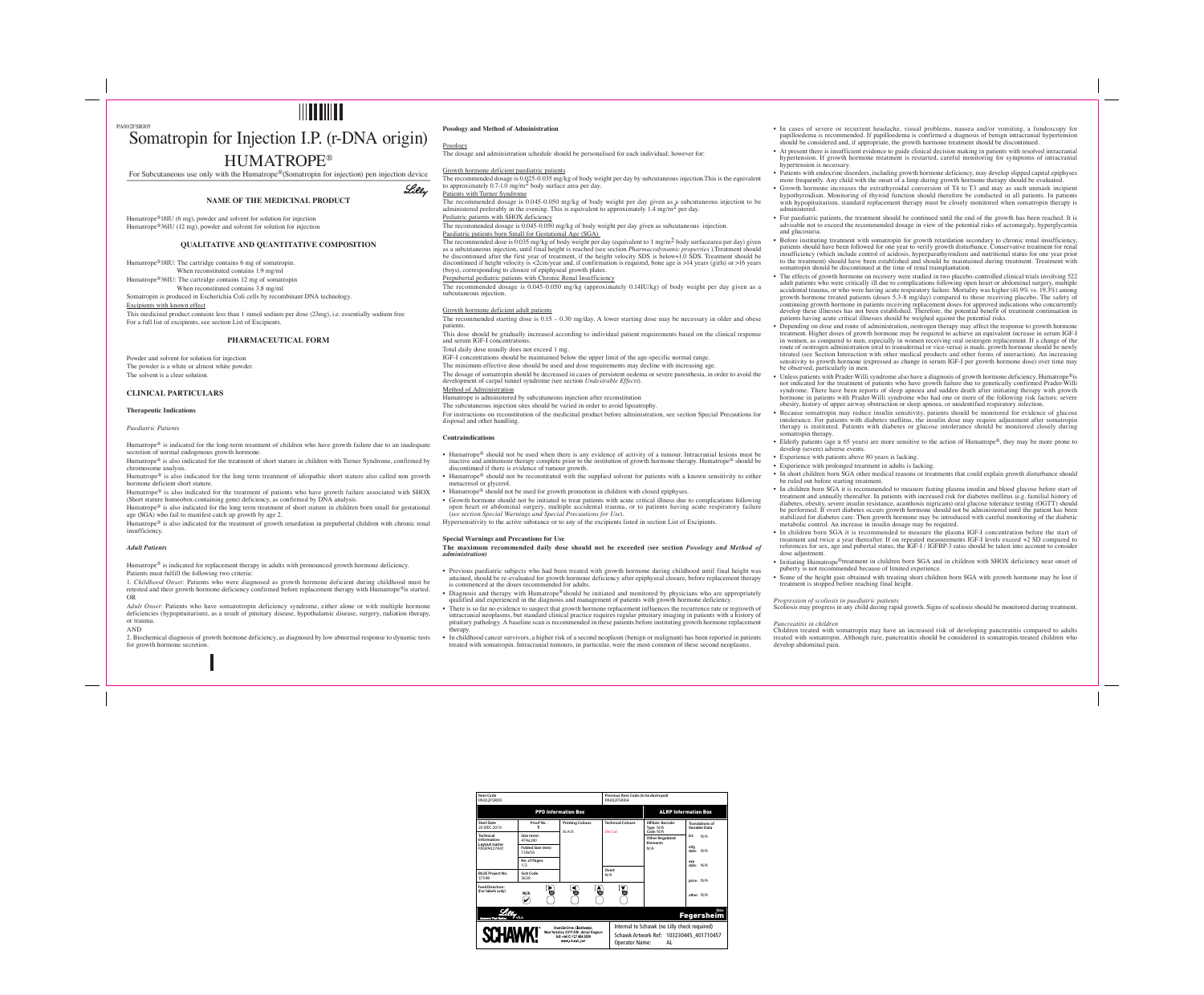# **IIII IIIIIIII** Somatropin for Injection I.P. (r-DNA origin)

# HUMATROPE®

For Subcutaneous use only with the Humatrope<sup>®</sup>(Somatropin for injection) pen injection device

# **NAME OF THE MEDICINAL PRODUCT**

Humatrope®18IU (6 mg), powder and solvent for solution for injection Humatrope®36IU (12 mg), powder and solvent for solution for injection

# **QUALITATIVE AND QUANTITATIVE COMPOSITION**

Humatrope®18IU: The cartridge contains 6 mg of somatropin.

When reconstituted contains 1.9 mg/ml

Humatrope®36IU: The cartridge contains 12 mg of somatropin When reconstituted contains 3.8 mg/ml

Humatrope<sup>®</sup> is indicated for the long-term treatment of children who have growth failure due to an inadequate secretion of normal endogenous growth hormone.

Somatropin is produced in Escherichia Coli cells by recombinant DNA technology.

#### Excipients with known effect

PA002ESRI0<sup>6</sup>

This medicinal product contains less than 1 mmol sodium per dose (23mg), i.e. essentially sodium free For a full list of excipients, see section List of Excipients.

# **PHARMACEUTICAL FORM**

Powder and solvent for solution for injection The powder is a white or almost white powder. The solvent is a clear solution.

### **CLINICAL PARTICULARS**

**Therapeutic Indications**

# *Paediatric Patients*

Humatrope® is indicated for replacement therapy in adults with pronounced growth hormone deficiency. Patients must fulfill the following two criteria:

Humatrope® is also indicated for the treatment of short stature in children with Turner Syndrome, confirmed by chromosome analysis.

AND 2. Biochemical diagnosis of growth hormone deficiency, as diagnosed by low abnormal response to dynamic tests for growth hormone secretion.

Humatrope® is also indicated for the long term treatment of idiopathic short stature also called non growth hormone deficient short stature. Humatrope® is also indicated for the treatment of patients who have growth failure associated with SHOX

The recommended dosage is 0.045-0.050 mg/kg of body weight per day given as a subcutaneous injection to be administered preferably in the evening. This is equivalent to approximately 1.4 mg/m<sup>2</sup> per day. Pediatric patients with SHOX deficiency

(Short stature homeobox-containing gene) deficiency, as confirmed by DNA analysis. Humatrope® is also indicated for the long term treatment of short stature in children born small for gestational

age (SGA) who fail to manifest catch up growth by age 2. Humatrope® is also indicated for the treatment of growth retardation in prepubertal children with chronic renal insufficiency.

# *Adult Patients*

The recommended dose is 0.035 mg/kg of body weight per day (equivalent to  $1 \text{ mg/m}^2$  body surfacearea per day) given as a subcutaneous injection, until final height is reached (see section *Pharmacodynamic properties* ).Treatment should be discontinued after the first year of treatment, if the height velocity SDS is below+1.0 SDS. Treatment should be discontinued if height velocity is <2cm/year and, if confirmation is required, bone age is >14 years (girls) or >16 years (boys), corresponding to closure of epiphyseal growth plates.

1. *Childhood Onset*: Patients who were diagnosed as growth hormone deficient during childhood must be retested and their growth hormone deficiency confirmed before replacement therapy with Humatrope®is started. OR

*Adult Onset*: Patients who have somatotropin deficiency syndrome, either alone or with multiple hormone deficiencies (hypopituitarism), as a result of pituitary disease, hypothalamic disease, surgery, radiation therapy, or trauma.

# **Posology and Method of Administration**

# Posology

The dosage and administration schedule should be personalised for each individual; however for:

Growth hormone deficient paediatric patients

The recommended dosage is 0.025-0.035 mg/kg of body weight per day by subcutaneous injection.This is the equivalent to approximately 0.7-1.0 mg/m<sup>2</sup> body surface area per day. Patients with Turner Syndrome

The recommended dosage is 0.045-0.050 mg/kg of body weight per day given as subcutaneous injection. Paediatric patients born Small for Gestational Age (SGA)

Prepubertal pediatric patients with Chronic Renal Insufficiency

The recommended dosage is 0.045-0.050 mg/kg (approximately 0.14IU/kg) of body weight per day given as a subcutaneous injection.

Growth hormone deficient adult patients

The recommended starting dose is 0.15 – 0.30 mg/day. A lower starting dose may be necessary in older and obese patients.

This dose should be gradually increased according to individual patient requirements based on the clinical response and serum IGF-I concentrations.

Total daily dose usually does not exceed 1 mg.

IGF-I concentrations should be maintained below the upper limit of the age-specific normal range. The minimum effective dose should be used and dose requirements may decline with increasing age. The dosage of somatropin should be decreased in cases of persistent oedema or severe paresthesia, in order to avoid the development of carpal tunnel syndrome (see section *Undesirable Effects*). Method of Administration

Humatrope is administered by subcutaneous injection after reconstitution

The subcutaneous injection sites should be varied in order to avoid lipoatrophy. For instructions on reconstitution of the medicinal product before administration, see section Special Precautions for disposal and other handling.

#### **Contraindications**

- Humatrope® should not be used when there is any evidence of activity of a tumour. Intracranial lesions must be inactive and antitumour therapy complete prior to the institution of growth hormone therapy. Humatrope® should be discontinued if there is evidence of tumour growth.
- Humatrope® should not be reconstituted with the supplied solvent for patients with a known sensitivity to either metacresol or glycerol.

• Humatrope® should not be used for growth promotion in children with closed epiphyses. • Growth hormone should not be initiated to treat patients with acute critical illness due to complications following open heart or abdominal surgery, multiple accidental trauma, or to patients having acute respiratory failure (*see section Special Warnings and Special Precautions for Use*).

Hypersensitivity to the active substance or to any of the excipients listed in section List of Excipients.

#### **Special Warnings and Precautions for Use The maximum recommended daily dose should not be exceeded (see section** *Posology and Method of administration***)**

• Previous paediatric subjects who had been treated with growth hormone during childhood until final height was attained, should be re-evaluated for growth hormone deficiency after epiphyseal closure, before replacement therapy

- is commenced at the doses recommended for adults. • Diagnosis and therapy with Humatrope®should be initiated and monitored by physicians who are appropriately qualified and experienced in the diagnosis and management of patients with growth hormone deficiency.
- There is so far no evidence to suspect that growth hormone replacement influences the recurrence rate or regrowth of intracranial neoplasms, but standard clinical practice requires regular pituitary imaging in patients with a history of
- pituitary pathology. A baseline scan is recommended in these patients before instituting growth hormone replacement therapy.
- In childhood cancer survivors, a higher risk of a second neoplasm (benign or malignant) has been reported in patients treated with somatropin. Intracranial tumours, in particular, were the most common of these second neoplasms.
- In cases of severe or recurrent headache, visual problems, nausea and/or vomiting, a fundoscopy for papilloedema is recommended. If papilloedema is confirmed a diagnosis of benign intracranial hypertension should be considered and, if appropriate, the growth hormone treatment should be discontinued.
- At present there is insufficient evidence to guide clinical decision making in patients with resolved intracranial hypertension. If growth hormone treatment is restarted, careful monitoring for symptoms of intracranial hypertension is necessary.
- Patients with endocrine disorders, including growth hormone deficiency, may develop slipped capital epiphyses more frequently. Any child with the onset of a limp during growth hormone therapy should be evaluated.
- Growth hormone increases the extrathyroidal conversion of T4 to T3 and may as such unmask incipient hypothyroidism. Monitoring of thyroid function should therefore be conducted in all patients. In patients with hypopituitarism, standard replacement therapy must be closely monitored when somatropin therapy is administered.
- For paediatric patients, the treatment should be continued until the end of the growth has been reached. It is advisable not to exceed the recommended dosage in view of the potential risks of acromegaly, hyperglycemia and glucosuria.
- Before instituting treatment with somatropin for growth retardation secondary to chronic renal insufficiency, patients should have been followed for one year to verify growth disturbance. Conservative treatment for renal insufficiency (which include control of acidosis, hyperparathyroidism and nutritional status for one year prior to the treatment) should have been established and should be maintained during treatment. Treatment with somatropin should be discontinued at the time of renal transplantation.
- The effects of growth hormone on recovery were studied in two placebo-controlled clinical trials involving 522 adult patients who were critically ill due to complications following open heart or abdominal surgery, multiple accidental trauma, or who were having acute respiratory failure. Mortality was higher (41.9% vs. 19.3%) among growth hormone treated patients (doses 5.3-8 mg/day) compared to those receiving placebo. The safety of continuing growth hormone in patients receiving replacement doses for approved indications who concurrently develop these illnesses has not been established. Therefore, the potential benefit of treatment continuation in patients having acute critical illnesses should be weighed against the potential risks.
- Depending on dose and route of administration, oestrogen therapy may affect the response to growth hormone treatment. Higher doses of growth hormone may be required to achieve an equivalent increase in serum IGF-I in women, as compared to men, especially in women receiving oral oestrogen replacement. If a change of the route of oestrogen administration (oral to transdermal or vice-versa) is made, growth hormone should be newly titrated (see Section Interaction with other medical products and other forms of interaction). An increasing sensitivity to growth hormone (expressed as change in serum IGF-I per growth hormone dose) over time may be observed, particularly in men.
- Unless patients with Prader-Willi syndrome also have a diagnosis of growth hormone deficiency, Humatrope®is not indicated for the treatment of patients who have growth failure due to genetically confirmed Prader-Willi syndrome. There have been reports of sleep apnoea and sudden death after initiating therapy with growth hormone in patients with Prader-Willi syndrome who had one or more of the following risk factors: severe obesity, history of upper airway obstruction or sleep apnoea, or unidentified respiratory infection.
- Because somatropin may reduce insulin sensitivity, patients should be monitored for evidence of glucose intolerance. For patients with diabetes mellitus, the insulin dose may require adjustment after somatropin therapy is instituted. Patients with diabetes or glucose intolerance should be monitored closely during somatropin therapy.
- Elderly patients (age  $\geq 65$  years) are more sensitive to the action of Humatrope®, they may be more prone to develop (severe) adverse events.
- Experience with patients above 80 years is lacking. • Experience with prolonged treatment in adults is lacking.
- In short children born SGA other medical reasons or treatments that could explain growth disturbance should be ruled out before starting treatment.
- In children born SGA it is recommended to measure fasting plasma insulin and blood glucose before start of treatment and annually thereafter. In patients with increased risk for diabetes mellitus (e.g. familial history of diabetes, obesity, severe insulin resistance, acanthosis nigricans) oral glucose tolerance testing (OGTT) should be performed. If overt diabetes occurs growth hormone should not be administered until the patient has been stabilized for diabetes care. Then growth hormone may be introduced with careful monitoring of the diabetic metabolic control. An increase in insulin dosage may be required.
- In children born SGA it is recommended to measure the plasma IGF-I concentration before the start of treatment and twice a year thereafter. If on repeated measurements IGF-I levels exceed +2 SD compared to references for sex, age and pubertal status, the IGF-I / IGFBP-3 ratio should be taken into account to consider dose adjustment.
- Initiating Humatrope®treatment in children born SGA and in children with SHOX deficiency near onset of puberty is not recommended because of limited experience.
- Some of the height gain obtained with treating short children born SGA with growth hormone may be lost if treatment is stopped before reaching final height.

*Progression of scoliosis in paediatric patients*

Scoliosis may progress in any child during rapid growth. Signs of scoliosis should be monitored during treatment.

*Pancreatitis in children*

Children treated with somatropin may have an increased risk of developing pancreatitis compared to adults treated with somatropin. Although rare, pancreatitis should be considered in somatropin-treated children who develop abdominal pain.



| <b>Item Code</b><br>PA002FSRI05                                                                                                            |                            |                                         | Previous Item Code (to be destroyed)<br>PA002FSRI04 |                                                                                         |  |
|--------------------------------------------------------------------------------------------------------------------------------------------|----------------------------|-----------------------------------------|-----------------------------------------------------|-----------------------------------------------------------------------------------------|--|
|                                                                                                                                            | <b>ALRP II</b>             |                                         |                                                     |                                                                                         |  |
| <b>Start Date</b><br>20 DEC 2019                                                                                                           | Proof No.:                 | <b>Printing Colours</b><br><b>BLACK</b> | <b>Technical Colours</b><br>Die Cut                 | <b>Affiliate Barcode:</b><br>Type: N/A<br>Code: N/A                                     |  |
| Technical<br>Information:<br>Layout name<br>FEGPA027A01                                                                                    | Size (mm):<br>474x280      |                                         |                                                     | <b>Other Regulated</b><br><b>Elements</b><br>N/A                                        |  |
|                                                                                                                                            | Folded Size (mm)<br>158x56 |                                         |                                                     |                                                                                         |  |
|                                                                                                                                            | No. of Pages:<br>1/2       |                                         |                                                     |                                                                                         |  |
| <b>BLUE Project No.</b><br>37548                                                                                                           | Sick Code<br>3639          |                                         | Overt<br>N/A                                        |                                                                                         |  |
| <b>Feed Direction:</b><br>(For labels only)                                                                                                | ⋗.<br>Ō<br>N/A<br>✓        | A<br>⋖                                  | v                                                   |                                                                                         |  |
| Answers That Matter.                                                                                                                       | v5.4                       |                                         |                                                     |                                                                                         |  |
| Riverside Drive, Cleckheaton.<br><b>SCHAWK!</b><br>West Yorkshire, BD19 4DH, United Kingdom<br>Tel: +44 (0) 127 484 8000<br>www.schawk.com |                            |                                         |                                                     | Internal to Schawk (no Lilly<br>Schawk Artwork Ref: 1032<br><b>Operator Name:</b><br>AL |  |



- 
- 
- 
- 
- 
- 
- 
- 
- 
- 
- 
- 
- 
- 
- 
- 

- 
-